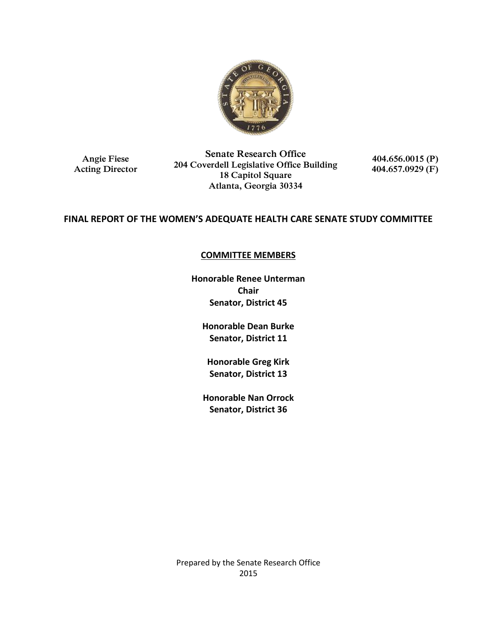

**Angie Fiese Acting Director**

**Senate Research Office 204 Coverdell Legislative Office Building 18 Capitol Square Atlanta, Georgia 30334**

**404.656.0015 (P) 404.657.0929 (F)**

# **FINAL REPORT OF THE WOMEN'S ADEQUATE HEALTH CARE SENATE STUDY COMMITTEE**

## **COMMITTEE MEMBERS**

**Honorable Renee Unterman Chair Senator, District 45**

**Honorable Dean Burke Senator, District 11**

**Honorable Greg Kirk Senator, District 13**

**Honorable Nan Orrock Senator, District 36**

Prepared by the Senate Research Office 2015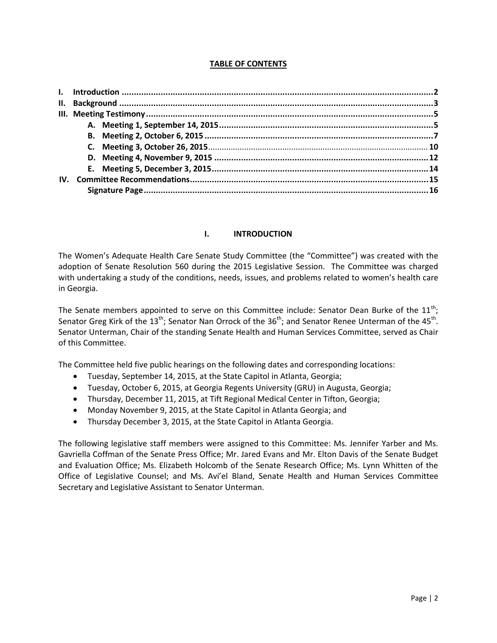### **TABLE OF CONTENTS**

### **I. INTRODUCTION**

The Women's Adequate Health Care Senate Study Committee (the "Committee") was created with the adoption of Senate Resolution 560 during the 2015 Legislative Session. The Committee was charged with undertaking a study of the conditions, needs, issues, and problems related to women's health care in Georgia.

The Senate members appointed to serve on this Committee include: Senator Dean Burke of the  $11^{\text{th}}$ ; Senator Greg Kirk of the 13<sup>th</sup>; Senator Nan Orrock of the 36<sup>th</sup>; and Senator Renee Unterman of the 45<sup>th</sup>. Senator Unterman, Chair of the standing Senate Health and Human Services Committee, served as Chair of this Committee.

The Committee held five public hearings on the following dates and corresponding locations:

- Tuesday, September 14, 2015, at the State Capitol in Atlanta, Georgia;
- Tuesday, October 6, 2015, at Georgia Regents University (GRU) in Augusta, Georgia;
- Thursday, December 11, 2015, at Tift Regional Medical Center in Tifton, Georgia;
- Monday November 9, 2015, at the State Capitol in Atlanta Georgia; and
- Thursday December 3, 2015, at the State Capitol in Atlanta Georgia.

The following legislative staff members were assigned to this Committee: Ms. Jennifer Yarber and Ms. Gavriella Coffman of the Senate Press Office; Mr. Jared Evans and Mr. Elton Davis of the Senate Budget and Evaluation Office; Ms. Elizabeth Holcomb of the Senate Research Office; Ms. Lynn Whitten of the Office of Legislative Counsel; and Ms. Avi'el Bland, Senate Health and Human Services Committee Secretary and Legislative Assistant to Senator Unterman.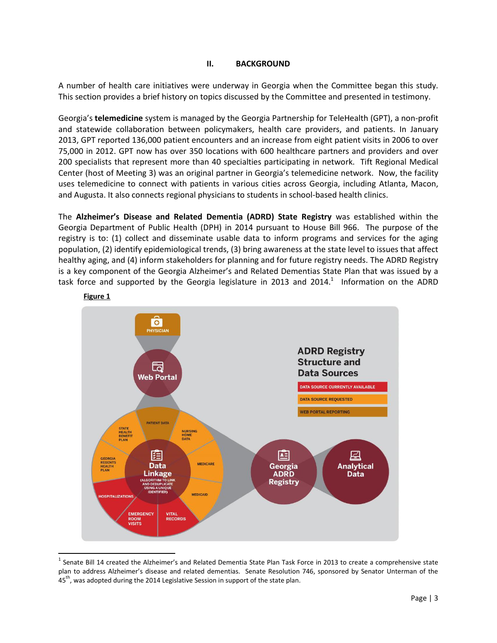#### **II. BACKGROUND**

A number of health care initiatives were underway in Georgia when the Committee began this study. This section provides a brief history on topics discussed by the Committee and presented in testimony.

Georgia's **telemedicine** system is managed by the Georgia Partnership for TeleHealth (GPT), a non-profit and statewide collaboration between policymakers, health care providers, and patients. In January 2013, GPT reported 136,000 patient encounters and an increase from eight patient visits in 2006 to over 75,000 in 2012. GPT now has over 350 locations with 600 healthcare partners and providers and over 200 specialists that represent more than 40 specialties participating in network. Tift Regional Medical Center (host of Meeting 3) was an original partner in Georgia's telemedicine network. Now, the facility uses telemedicine to connect with patients in various cities across Georgia, including Atlanta, Macon, and Augusta. It also connects regional physicians to students in school-based health clinics.

The **Alzheimer's Disease and Related Dementia (ADRD) State Registry** was established within the Georgia Department of Public Health (DPH) in 2014 pursuant to House Bill 966. The purpose of the registry is to: (1) collect and disseminate usable data to inform programs and services for the aging population, (2) identify epidemiological trends, (3) bring awareness at the state level to issues that affect healthy aging, and (4) inform stakeholders for planning and for future registry needs. The ADRD Registry is a key component of the Georgia Alzheimer's and Related Dementias State Plan that was issued by a task force and supported by the Georgia legislature in 2013 and 2014.<sup>1</sup> Information on the ADRD



**Figure 1**

 1 Senate Bill 14 created the Alzheimer's and Related Dementia State Plan Task Force in 2013 to create a comprehensive state plan to address Alzheimer's disease and related dementias. Senate Resolution 746, sponsored by Senator Unterman of the 45<sup>th</sup>, was adopted during the 2014 Legislative Session in support of the state plan.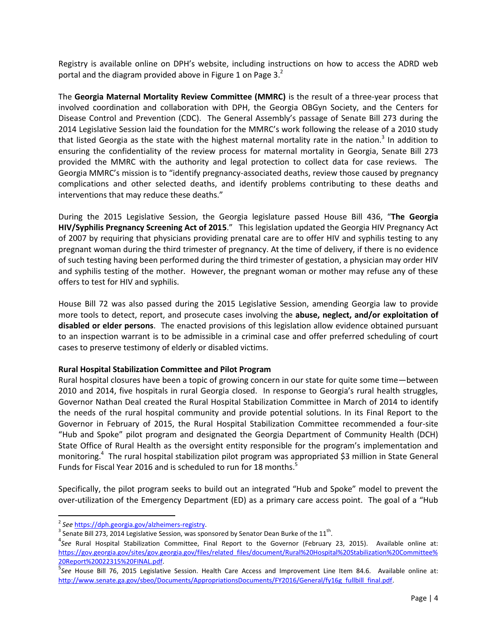Registry is available online on DPH's website, including instructions on how to access the ADRD web portal and the diagram provided above in Figure 1 on Page 3. $^{2}$ 

The **Georgia Maternal Mortality Review Committee (MMRC)** is the result of a three-year process that involved coordination and collaboration with DPH, the Georgia OBGyn Society, and the Centers for Disease Control and Prevention (CDC). The General Assembly's passage of Senate Bill 273 during the 2014 Legislative Session laid the foundation for the MMRC's work following the release of a 2010 study that listed Georgia as the state with the highest maternal mortality rate in the nation.<sup>3</sup> In addition to ensuring the confidentiality of the review process for maternal mortality in Georgia, Senate Bill 273 provided the MMRC with the authority and legal protection to collect data for case reviews. The Georgia MMRC's mission is to "identify pregnancy-associated deaths, review those caused by pregnancy complications and other selected deaths, and identify problems contributing to these deaths and interventions that may reduce these deaths."

During the 2015 Legislative Session, the Georgia legislature passed House Bill 436, "**The Georgia HIV/Syphilis Pregnancy Screening Act of 2015**." This legislation updated the Georgia HIV Pregnancy Act of 2007 by requiring that physicians providing prenatal care are to offer HIV and syphilis testing to any pregnant woman during the third trimester of pregnancy. At the time of delivery, if there is no evidence of such testing having been performed during the third trimester of gestation, a physician may order HIV and syphilis testing of the mother. However, the pregnant woman or mother may refuse any of these offers to test for HIV and syphilis.

House Bill 72 was also passed during the 2015 Legislative Session, amending Georgia law to provide more tools to detect, report, and prosecute cases involving the **abuse, neglect, and/or exploitation of disabled or elder persons**. The enacted provisions of this legislation allow evidence obtained pursuant to an inspection warrant is to be admissible in a criminal case and offer preferred scheduling of court cases to preserve testimony of elderly or disabled victims.

### **Rural Hospital Stabilization Committee and Pilot Program**

Rural hospital closures have been a topic of growing concern in our state for quite some time—between 2010 and 2014, five hospitals in rural Georgia closed. In response to Georgia's rural health struggles, Governor Nathan Deal created the Rural Hospital Stabilization Committee in March of 2014 to identify the needs of the rural hospital community and provide potential solutions. In its Final Report to the Governor in February of 2015, the Rural Hospital Stabilization Committee recommended a four-site "Hub and Spoke" pilot program and designated the Georgia Department of Community Health (DCH) State Office of Rural Health as the oversight entity responsible for the program's implementation and monitoring.<sup>4</sup> The rural hospital stabilization pilot program was appropriated \$3 million in State General Funds for Fiscal Year 2016 and is scheduled to run for 18 months.<sup>5</sup>

Specifically, the pilot program seeks to build out an integrated "Hub and Spoke" model to prevent the over-utilization of the Emergency Department (ED) as a primary care access point. The goal of a "Hub

 $\overline{\phantom{a}}$ 

<sup>2</sup> *See* [https://dph.georgia.gov/alzheimers-registry.](https://dph.georgia.gov/alzheimers-registry) 

 $^3$  Senate Bill 273, 2014 Legislative Session, was sponsored by Senator Dean Burke of the 11<sup>th</sup>.

<sup>4</sup> *See* Rural Hospital Stabilization Committee, Final Report to the Governor (February 23, 2015). Available online at: [https://gov.georgia.gov/sites/gov.georgia.gov/files/related\\_files/document/Rural%20Hospital%20Stabilization%20Committee%](https://gov.georgia.gov/sites/gov.georgia.gov/files/related_files/document/Rural%20Hospital%20Stabilization%20Committee%20Report%20022315%20FINAL.pdf) [20Report%20022315%20FINAL.pdf.](https://gov.georgia.gov/sites/gov.georgia.gov/files/related_files/document/Rural%20Hospital%20Stabilization%20Committee%20Report%20022315%20FINAL.pdf)

<sup>5</sup> *See* House Bill 76, 2015 Legislative Session. Health Care Access and Improvement Line Item 84.6. Available online at: [http://www.senate.ga.gov/sbeo/Documents/AppropriationsDocuments/FY2016/General/fy16g\\_fullbill\\_final.pdf.](http://www.senate.ga.gov/sbeo/Documents/AppropriationsDocuments/FY2016/General/fy16g_fullbill_final.pdf)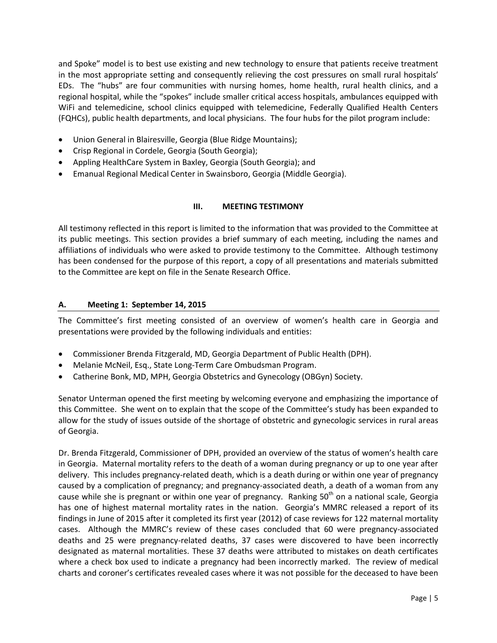and Spoke" model is to best use existing and new technology to ensure that patients receive treatment in the most appropriate setting and consequently relieving the cost pressures on small rural hospitals' EDs. The "hubs" are four communities with nursing homes, home health, rural health clinics, and a regional hospital, while the "spokes" include smaller critical access hospitals, ambulances equipped with WiFi and telemedicine, school clinics equipped with telemedicine, Federally Qualified Health Centers (FQHCs), public health departments, and local physicians. The four hubs for the pilot program include:

- Union General in Blairesville, Georgia (Blue Ridge Mountains);
- Crisp Regional in Cordele, Georgia (South Georgia);
- Appling HealthCare System in Baxley, Georgia (South Georgia); and
- Emanual Regional Medical Center in Swainsboro, Georgia (Middle Georgia).

### **III. MEETING TESTIMONY**

All testimony reflected in this report is limited to the information that was provided to the Committee at its public meetings. This section provides a brief summary of each meeting, including the names and affiliations of individuals who were asked to provide testimony to the Committee. Although testimony has been condensed for the purpose of this report, a copy of all presentations and materials submitted to the Committee are kept on file in the Senate Research Office.

### **A. Meeting 1: September 14, 2015**

The Committee's first meeting consisted of an overview of women's health care in Georgia and presentations were provided by the following individuals and entities:

- Commissioner Brenda Fitzgerald, MD, Georgia Department of Public Health (DPH).
- Melanie McNeil, Esq., State Long-Term Care Ombudsman Program.
- Catherine Bonk, MD, MPH, Georgia Obstetrics and Gynecology (OBGyn) Society.

Senator Unterman opened the first meeting by welcoming everyone and emphasizing the importance of this Committee. She went on to explain that the scope of the Committee's study has been expanded to allow for the study of issues outside of the shortage of obstetric and gynecologic services in rural areas of Georgia.

Dr. Brenda Fitzgerald, Commissioner of DPH, provided an overview of the status of women's health care in Georgia. Maternal mortality refers to the death of a woman during pregnancy or up to one year after delivery. This includes pregnancy-related death, which is a death during or within one year of pregnancy caused by a complication of pregnancy; and pregnancy-associated death, a death of a woman from any cause while she is pregnant or within one year of pregnancy. Ranking 50<sup>th</sup> on a national scale, Georgia has one of highest maternal mortality rates in the nation. Georgia's MMRC released a report of its findings in June of 2015 after it completed its first year (2012) of case reviews for 122 maternal mortality cases. Although the MMRC's review of these cases concluded that 60 were pregnancy-associated deaths and 25 were pregnancy-related deaths, 37 cases were discovered to have been incorrectly designated as maternal mortalities. These 37 deaths were attributed to mistakes on death certificates where a check box used to indicate a pregnancy had been incorrectly marked. The review of medical charts and coroner's certificates revealed cases where it was not possible for the deceased to have been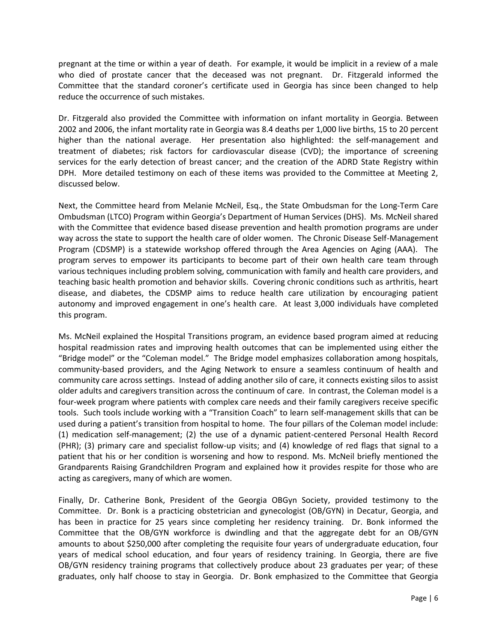pregnant at the time or within a year of death. For example, it would be implicit in a review of a male who died of prostate cancer that the deceased was not pregnant. Dr. Fitzgerald informed the Committee that the standard coroner's certificate used in Georgia has since been changed to help reduce the occurrence of such mistakes.

Dr. Fitzgerald also provided the Committee with information on infant mortality in Georgia. Between 2002 and 2006, the infant mortality rate in Georgia was 8.4 deaths per 1,000 live births, 15 to 20 percent higher than the national average. Her presentation also highlighted: the self-management and treatment of diabetes; risk factors for cardiovascular disease (CVD); the importance of screening services for the early detection of breast cancer; and the creation of the ADRD State Registry within DPH. More detailed testimony on each of these items was provided to the Committee at Meeting 2, discussed below.

Next, the Committee heard from Melanie McNeil, Esq., the State Ombudsman for the Long-Term Care Ombudsman (LTCO) Program within Georgia's Department of Human Services (DHS). Ms. McNeil shared with the Committee that evidence based disease prevention and health promotion programs are under way across the state to support the health care of older women. The Chronic Disease Self-Management Program (CDSMP) is a statewide workshop offered through the Area Agencies on Aging (AAA). The program serves to empower its participants to become part of their own health care team through various techniques including problem solving, communication with family and health care providers, and teaching basic health promotion and behavior skills. Covering chronic conditions such as arthritis, heart disease, and diabetes, the CDSMP aims to reduce health care utilization by encouraging patient autonomy and improved engagement in one's health care. At least 3,000 individuals have completed this program.

Ms. McNeil explained the Hospital Transitions program, an evidence based program aimed at reducing hospital readmission rates and improving health outcomes that can be implemented using either the "Bridge model" or the "Coleman model." The Bridge model emphasizes collaboration among hospitals, community-based providers, and the Aging Network to ensure a seamless continuum of health and community care across settings. Instead of adding another silo of care, it connects existing silos to assist older adults and caregivers transition across the continuum of care. In contrast, the Coleman model is a four-week program where patients with complex care needs and their family caregivers receive specific tools. Such tools include working with a "Transition Coach" to learn self-management skills that can be used during a patient's transition from hospital to home. The four pillars of the Coleman model include: (1) medication self-management; (2) the use of a dynamic patient-centered Personal Health Record (PHR); (3) primary care and specialist follow-up visits; and (4) knowledge of red flags that signal to a patient that his or her condition is worsening and how to respond. Ms. McNeil briefly mentioned the Grandparents Raising Grandchildren Program and explained how it provides respite for those who are acting as caregivers, many of which are women.

Finally, Dr. Catherine Bonk, President of the Georgia OBGyn Society, provided testimony to the Committee. Dr. Bonk is a practicing obstetrician and gynecologist (OB/GYN) in Decatur, Georgia, and has been in practice for 25 years since completing her residency training. Dr. Bonk informed the Committee that the OB/GYN workforce is dwindling and that the aggregate debt for an OB/GYN amounts to about \$250,000 after completing the requisite four years of undergraduate education, four years of medical school education, and four years of residency training. In Georgia, there are five OB/GYN residency training programs that collectively produce about 23 graduates per year; of these graduates, only half choose to stay in Georgia. Dr. Bonk emphasized to the Committee that Georgia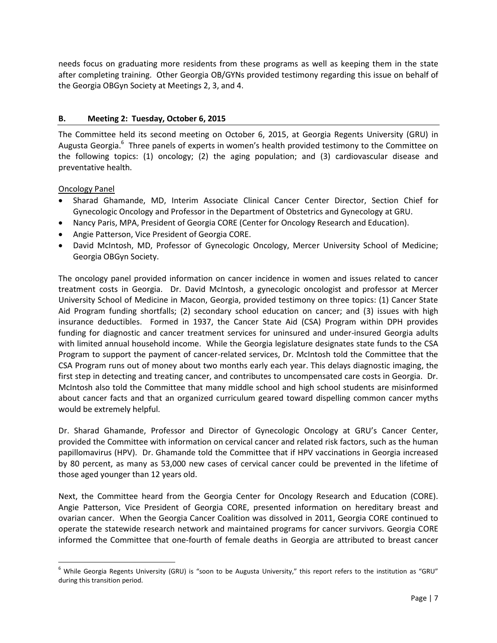needs focus on graduating more residents from these programs as well as keeping them in the state after completing training. Other Georgia OB/GYNs provided testimony regarding this issue on behalf of the Georgia OBGyn Society at Meetings 2, 3, and 4.

### **B. Meeting 2: Tuesday, October 6, 2015**

The Committee held its second meeting on October 6, 2015, at Georgia Regents University (GRU) in Augusta Georgia.<sup>6</sup> Three panels of experts in women's health provided testimony to the Committee on the following topics: (1) oncology; (2) the aging population; and (3) cardiovascular disease and preventative health.

Oncology Panel

 $\overline{\phantom{a}}$ 

- Sharad Ghamande, MD, Interim Associate Clinical Cancer Center Director, Section Chief for Gynecologic Oncology and Professor in the Department of Obstetrics and Gynecology at GRU.
- Nancy Paris, MPA, President of Georgia CORE (Center for Oncology Research and Education).
- Angie Patterson, Vice President of Georgia CORE.
- David McIntosh, MD, Professor of Gynecologic Oncology, Mercer University School of Medicine; Georgia OBGyn Society.

The oncology panel provided information on cancer incidence in women and issues related to cancer treatment costs in Georgia. Dr. David McIntosh, a gynecologic oncologist and professor at Mercer University School of Medicine in Macon, Georgia, provided testimony on three topics: (1) Cancer State Aid Program funding shortfalls; (2) secondary school education on cancer; and (3) issues with high insurance deductibles. Formed in 1937, the Cancer State Aid (CSA) Program within DPH provides funding for diagnostic and cancer treatment services for uninsured and under-insured Georgia adults with limited annual household income. While the Georgia legislature designates state funds to the CSA Program to support the payment of cancer-related services, Dr. McIntosh told the Committee that the CSA Program runs out of money about two months early each year. This delays diagnostic imaging, the first step in detecting and treating cancer, and contributes to uncompensated care costs in Georgia. Dr. McIntosh also told the Committee that many middle school and high school students are misinformed about cancer facts and that an organized curriculum geared toward dispelling common cancer myths would be extremely helpful.

Dr. Sharad Ghamande, Professor and Director of Gynecologic Oncology at GRU's Cancer Center, provided the Committee with information on cervical cancer and related risk factors, such as the human papillomavirus (HPV). Dr. Ghamande told the Committee that if HPV vaccinations in Georgia increased by 80 percent, as many as 53,000 new cases of cervical cancer could be prevented in the lifetime of those aged younger than 12 years old.

Next, the Committee heard from the Georgia Center for Oncology Research and Education (CORE). Angie Patterson, Vice President of Georgia CORE, presented information on hereditary breast and ovarian cancer. When the Georgia Cancer Coalition was dissolved in 2011, Georgia CORE continued to operate the statewide research network and maintained programs for cancer survivors. Georgia CORE informed the Committee that one-fourth of female deaths in Georgia are attributed to breast cancer

 $6$  While Georgia Regents University (GRU) is "soon to be Augusta University," this report refers to the institution as "GRU" during this transition period.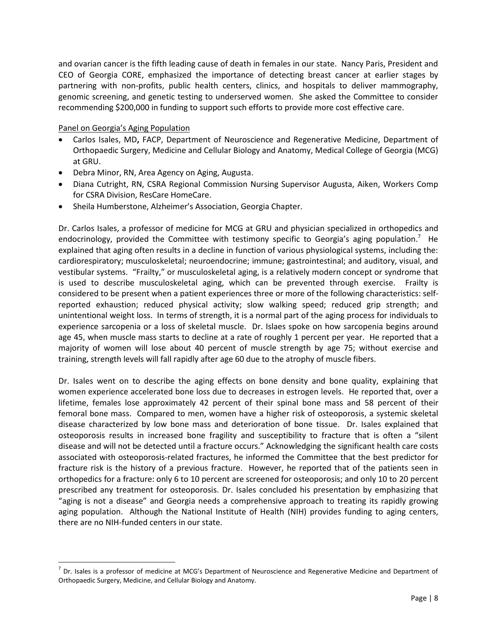and ovarian cancer is the fifth leading cause of death in females in our state. Nancy Paris, President and CEO of Georgia CORE, emphasized the importance of detecting breast cancer at earlier stages by partnering with non-profits, public health centers, clinics, and hospitals to deliver mammography, genomic screening, and genetic testing to underserved women. She asked the Committee to consider recommending \$200,000 in funding to support such efforts to provide more cost effective care.

### Panel on Georgia's Aging Population

 $\overline{\phantom{a}}$ 

- Carlos Isales, MD**,** FACP, Department of Neuroscience and Regenerative Medicine, Department of Orthopaedic Surgery, Medicine and Cellular Biology and Anatomy, Medical College of Georgia (MCG) at GRU.
- Debra Minor, RN, Area Agency on Aging, Augusta.
- Diana Cutright, RN, CSRA Regional Commission Nursing Supervisor Augusta, Aiken, Workers Comp for CSRA Division, ResCare HomeCare.
- Sheila Humberstone, Alzheimer's Association, Georgia Chapter.

Dr. Carlos Isales, a professor of medicine for MCG at GRU and physician specialized in orthopedics and endocrinology, provided the Committee with testimony specific to Georgia's aging population.<sup>7</sup> He explained that aging often results in a decline in function of various physiological systems, including the: cardiorespiratory; musculoskeletal; neuroendocrine; immune; gastrointestinal; and auditory, visual, and vestibular systems. "Frailty," or musculoskeletal aging, is a relatively modern concept or syndrome that is used to describe musculoskeletal aging, which can be prevented through exercise. Frailty is considered to be present when a patient experiences three or more of the following characteristics: selfreported exhaustion; reduced physical activity; slow walking speed; reduced grip strength; and unintentional weight loss. In terms of strength, it is a normal part of the aging process for individuals to experience sarcopenia or a loss of skeletal muscle. Dr. Islaes spoke on how sarcopenia begins around age 45, when muscle mass starts to decline at a rate of roughly 1 percent per year. He reported that a majority of women will lose about 40 percent of muscle strength by age 75; without exercise and training, strength levels will fall rapidly after age 60 due to the atrophy of muscle fibers.

Dr. Isales went on to describe the aging effects on bone density and bone quality, explaining that women experience accelerated bone loss due to decreases in estrogen levels. He reported that, over a lifetime, females lose approximately 42 percent of their spinal bone mass and 58 percent of their femoral bone mass. Compared to men, women have a higher risk of osteoporosis, a systemic skeletal disease characterized by low bone mass and deterioration of bone tissue. Dr. Isales explained that osteoporosis results in increased bone fragility and susceptibility to fracture that is often a "silent disease and will not be detected until a fracture occurs." Acknowledging the significant health care costs associated with osteoporosis-related fractures, he informed the Committee that the best predictor for fracture risk is the history of a previous fracture. However, he reported that of the patients seen in orthopedics for a fracture: only 6 to 10 percent are screened for osteoporosis; and only 10 to 20 percent prescribed any treatment for osteoporosis. Dr. Isales concluded his presentation by emphasizing that "aging is not a disease" and Georgia needs a comprehensive approach to treating its rapidly growing aging population. Although the National Institute of Health (NIH) provides funding to aging centers, there are no NIH-funded centers in our state.

 $^7$  Dr. Isales is a professor of medicine at MCG's Department of Neuroscience and Regenerative Medicine and Department of Orthopaedic Surgery, Medicine, and Cellular Biology and Anatomy.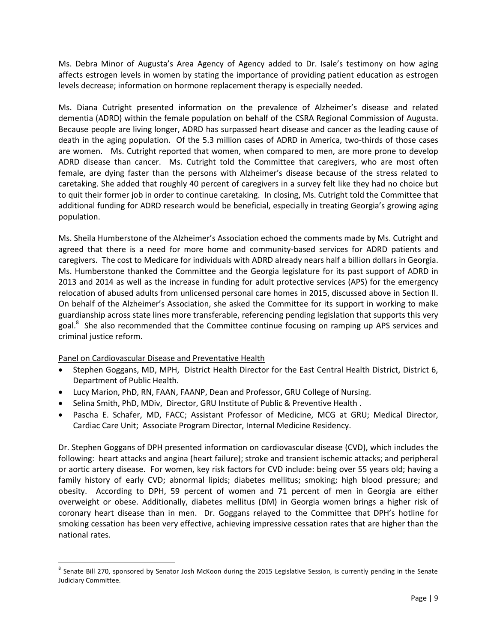Ms. Debra Minor of Augusta's Area Agency of Agency added to Dr. Isale's testimony on how aging affects estrogen levels in women by stating the importance of providing patient education as estrogen levels decrease; information on hormone replacement therapy is especially needed.

Ms. Diana Cutright presented information on the prevalence of Alzheimer's disease and related dementia (ADRD) within the female population on behalf of the CSRA Regional Commission of Augusta. Because people are living longer, ADRD has surpassed heart disease and cancer as the leading cause of death in the aging population. Of the 5.3 million cases of ADRD in America, two-thirds of those cases are women. Ms. Cutright reported that women, when compared to men, are more prone to develop ADRD disease than cancer. Ms. Cutright told the Committee that caregivers, who are most often female, are dying faster than the persons with Alzheimer's disease because of the stress related to caretaking. She added that roughly 40 percent of caregivers in a survey felt like they had no choice but to quit their former job in order to continue caretaking. In closing, Ms. Cutright told the Committee that additional funding for ADRD research would be beneficial, especially in treating Georgia's growing aging population.

Ms. Sheila Humberstone of the Alzheimer's Association echoed the comments made by Ms. Cutright and agreed that there is a need for more home and community-based services for ADRD patients and caregivers. The cost to Medicare for individuals with ADRD already nears half a billion dollars in Georgia. Ms. Humberstone thanked the Committee and the Georgia legislature for its past support of ADRD in 2013 and 2014 as well as the increase in funding for adult protective services (APS) for the emergency relocation of abused adults from unlicensed personal care homes in 2015, discussed above in Section II. On behalf of the Alzheimer's Association, she asked the Committee for its support in working to make guardianship across state lines more transferable, referencing pending legislation that supports this very goal.<sup>8</sup> She also recommended that the Committee continue focusing on ramping up APS services and criminal justice reform.

Panel on Cardiovascular Disease and Preventative Health

 $\overline{\phantom{a}}$ 

- Stephen Goggans, MD, MPH, District Health Director for the East Central Health District, District 6, Department of Public Health.
- Lucy Marion, PhD, RN, FAAN, FAANP, Dean and Professor, GRU College of Nursing.
- Selina Smith, PhD, MDiv, Director, GRU Institute of Public & Preventive Health.
- Pascha E. Schafer, MD, FACC; Assistant Professor of Medicine, MCG at GRU; Medical Director, Cardiac Care Unit; Associate Program Director, Internal Medicine Residency.

Dr. Stephen Goggans of DPH presented information on cardiovascular disease (CVD), which includes the following: heart attacks and angina (heart failure); stroke and transient ischemic attacks; and peripheral or aortic artery disease. For women, key risk factors for CVD include: being over 55 years old; having a family history of early CVD; abnormal lipids; diabetes mellitus; smoking; high blood pressure; and obesity. According to DPH, 59 percent of women and 71 percent of men in Georgia are either overweight or obese. Additionally, diabetes mellitus (DM) in Georgia women brings a higher risk of coronary heart disease than in men. Dr. Goggans relayed to the Committee that DPH's hotline for smoking cessation has been very effective, achieving impressive cessation rates that are higher than the national rates.

<sup>&</sup>lt;sup>8</sup> Senate Bill 270, sponsored by Senator Josh McKoon during the 2015 Legislative Session, is currently pending in the Senate Judiciary Committee.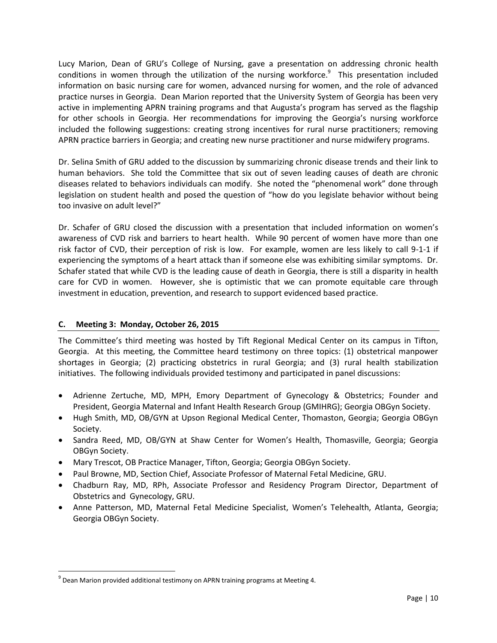Lucy Marion, Dean of GRU's College of Nursing, gave a presentation on addressing chronic health conditions in women through the utilization of the nursing workforce.<sup>9</sup> This presentation included information on basic nursing care for women, advanced nursing for women, and the role of advanced practice nurses in Georgia. Dean Marion reported that the University System of Georgia has been very active in implementing APRN training programs and that Augusta's program has served as the flagship for other schools in Georgia. Her recommendations for improving the Georgia's nursing workforce included the following suggestions: creating strong incentives for rural nurse practitioners; removing APRN practice barriers in Georgia; and creating new nurse practitioner and nurse midwifery programs.

Dr. Selina Smith of GRU added to the discussion by summarizing chronic disease trends and their link to human behaviors. She told the Committee that six out of seven leading causes of death are chronic diseases related to behaviors individuals can modify. She noted the "phenomenal work" done through legislation on student health and posed the question of "how do you legislate behavior without being too invasive on adult level?"

Dr. Schafer of GRU closed the discussion with a presentation that included information on women's awareness of CVD risk and barriers to heart health. While 90 percent of women have more than one risk factor of CVD, their perception of risk is low. For example, women are less likely to call 9-1-1 if experiencing the symptoms of a heart attack than if someone else was exhibiting similar symptoms. Dr. Schafer stated that while CVD is the leading cause of death in Georgia, there is still a disparity in health care for CVD in women. However, she is optimistic that we can promote equitable care through investment in education, prevention, and research to support evidenced based practice.

## **C. Meeting 3: Monday, October 26, 2015**

 $\overline{a}$ 

The Committee's third meeting was hosted by Tift Regional Medical Center on its campus in Tifton, Georgia. At this meeting, the Committee heard testimony on three topics: (1) obstetrical manpower shortages in Georgia; (2) practicing obstetrics in rural Georgia; and (3) rural health stabilization initiatives. The following individuals provided testimony and participated in panel discussions:

- Adrienne Zertuche, MD, MPH, Emory Department of Gynecology & Obstetrics; Founder and President, Georgia Maternal and Infant Health Research Group (GMIHRG); Georgia OBGyn Society.
- Hugh Smith, MD, OB/GYN at Upson Regional Medical Center, Thomaston, Georgia; Georgia OBGyn Society.
- Sandra Reed, MD, OB/GYN at Shaw Center for Women's Health, Thomasville, Georgia; Georgia OBGyn Society.
- Mary Trescot, OB Practice Manager, Tifton, Georgia; Georgia OBGyn Society.
- Paul Browne, MD, Section Chief, Associate Professor of Maternal Fetal Medicine, GRU.
- Chadburn Ray, MD, RPh, Associate Professor and Residency Program Director, Department of Obstetrics and Gynecology, GRU.
- Anne Patterson, MD, Maternal Fetal Medicine Specialist, Women's Telehealth, Atlanta, Georgia; Georgia OBGyn Society.

 $^{9}$  Dean Marion provided additional testimony on APRN training programs at Meeting 4.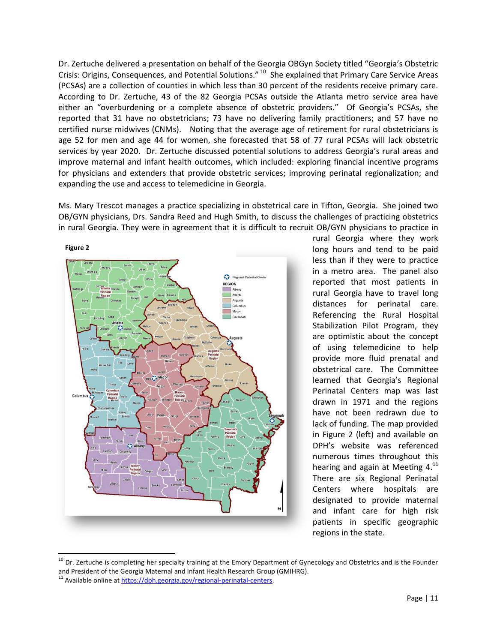Dr. Zertuche delivered a presentation on behalf of the Georgia OBGyn Society titled "Georgia's Obstetric Crisis: Origins, Consequences, and Potential Solutions."<sup>10</sup> She explained that Primary Care Service Areas (PCSAs) are a collection of counties in which less than 30 percent of the residents receive primary care. According to Dr. Zertuche, 43 of the 82 Georgia PCSAs outside the Atlanta metro service area have either an "overburdening or a complete absence of obstetric providers." Of Georgia's PCSAs, she reported that 31 have no obstetricians; 73 have no delivering family practitioners; and 57 have no certified nurse midwives (CNMs). Noting that the average age of retirement for rural obstetricians is age 52 for men and age 44 for women, she forecasted that 58 of 77 rural PCSAs will lack obstetric services by year 2020. Dr. Zertuche discussed potential solutions to address Georgia's rural areas and improve maternal and infant health outcomes, which included: exploring financial incentive programs for physicians and extenders that provide obstetric services; improving perinatal regionalization; and expanding the use and access to telemedicine in Georgia.

Ms. Mary Trescot manages a practice specializing in obstetrical care in Tifton, Georgia. She joined two OB/GYN physicians, Drs. Sandra Reed and Hugh Smith, to discuss the challenges of practicing obstetrics in rural Georgia. They were in agreement that it is difficult to recruit OB/GYN physicians to practice in



rural Georgia where they work long hours and tend to be paid less than if they were to practice in a metro area. The panel also reported that most patients in rural Georgia have to travel long distances for perinatal care. Referencing the Rural Hospital Stabilization Pilot Program, they are optimistic about the concept of using telemedicine to help provide more fluid prenatal and obstetrical care. The Committee learned that Georgia's Regional Perinatal Centers map was last drawn in 1971 and the regions have not been redrawn due to lack of funding. The map provided in Figure 2 (left) and available on DPH's website was referenced numerous times throughout this hearing and again at Meeting  $4.^{11}$ There are six Regional Perinatal Centers where hospitals are designated to provide maternal and infant care for high risk patients in specific geographic regions in the state.

l

<sup>&</sup>lt;sup>10</sup> Dr. Zertuche is completing her specialty training at the Emory Department of Gynecology and Obstetrics and is the Founder and President of the Georgia Maternal and Infant Health Research Group (GMIHRG).

 $11$  Available online at https://dph.georgia.gov/regional-perinatal-centers.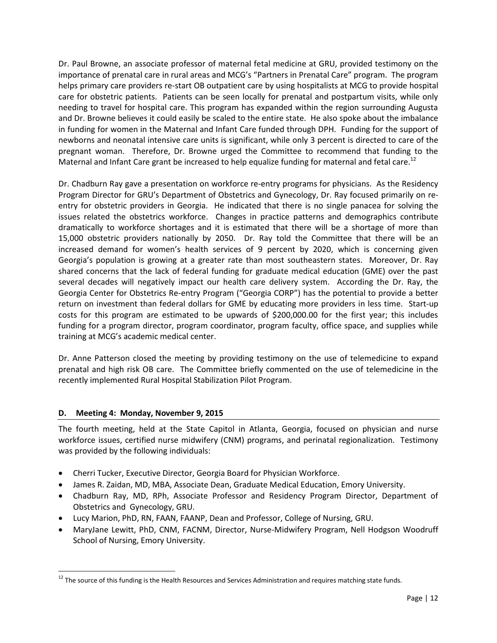Dr. Paul Browne, an associate professor of maternal fetal medicine at GRU, provided testimony on the importance of prenatal care in rural areas and MCG's "Partners in Prenatal Care" program. The program helps primary care providers re-start OB outpatient care by using hospitalists at MCG to provide hospital care for obstetric patients. Patients can be seen locally for prenatal and postpartum visits, while only needing to travel for hospital care. This program has expanded within the region surrounding Augusta and Dr. Browne believes it could easily be scaled to the entire state. He also spoke about the imbalance in funding for women in the Maternal and Infant Care funded through DPH. Funding for the support of newborns and neonatal intensive care units is significant, while only 3 percent is directed to care of the pregnant woman. Therefore, Dr. Browne urged the Committee to recommend that funding to the Maternal and Infant Care grant be increased to help equalize funding for maternal and fetal care.<sup>12</sup>

Dr. Chadburn Ray gave a presentation on workforce re-entry programs for physicians. As the Residency Program Director for GRU's Department of Obstetrics and Gynecology, Dr. Ray focused primarily on reentry for obstetric providers in Georgia. He indicated that there is no single panacea for solving the issues related the obstetrics workforce. Changes in practice patterns and demographics contribute dramatically to workforce shortages and it is estimated that there will be a shortage of more than 15,000 obstetric providers nationally by 2050. Dr. Ray told the Committee that there will be an increased demand for women's health services of 9 percent by 2020, which is concerning given Georgia's population is growing at a greater rate than most southeastern states. Moreover, Dr. Ray shared concerns that the lack of federal funding for graduate medical education (GME) over the past several decades will negatively impact our health care delivery system. According the Dr. Ray, the Georgia Center for Obstetrics Re-entry Program ("Georgia CORP") has the potential to provide a better return on investment than federal dollars for GME by educating more providers in less time. Start-up costs for this program are estimated to be upwards of \$200,000.00 for the first year; this includes funding for a program director, program coordinator, program faculty, office space, and supplies while training at MCG's academic medical center.

Dr. Anne Patterson closed the meeting by providing testimony on the use of telemedicine to expand prenatal and high risk OB care. The Committee briefly commented on the use of telemedicine in the recently implemented Rural Hospital Stabilization Pilot Program.

### **D. Meeting 4: Monday, November 9, 2015**

 $\overline{a}$ 

The fourth meeting, held at the State Capitol in Atlanta, Georgia, focused on physician and nurse workforce issues, certified nurse midwifery (CNM) programs, and perinatal regionalization. Testimony was provided by the following individuals:

- Cherri Tucker, Executive Director, Georgia Board for Physician Workforce.
- James R. Zaidan, MD, MBA, Associate Dean, Graduate Medical Education, Emory University.
- Chadburn Ray, MD, RPh, Associate Professor and Residency Program Director, Department of Obstetrics and Gynecology, GRU.
- Lucy Marion, PhD, RN, FAAN, FAANP, Dean and Professor, College of Nursing, GRU.
- MaryJane Lewitt, PhD, CNM, FACNM, Director, Nurse-Midwifery Program, Nell Hodgson Woodruff School of Nursing, Emory University.

 $12$  The source of this funding is the Health Resources and Services Administration and requires matching state funds.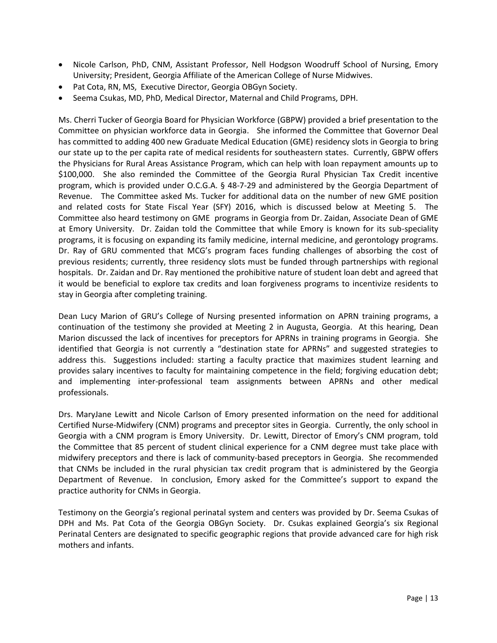- Nicole Carlson, PhD, CNM, Assistant Professor, Nell Hodgson Woodruff School of Nursing, Emory University; President, Georgia Affiliate of the American College of Nurse Midwives.
- Pat Cota, RN, MS, Executive Director, Georgia OBGyn Society.
- Seema Csukas, MD, PhD, Medical Director, Maternal and Child Programs, DPH.

Ms. Cherri Tucker of Georgia Board for Physician Workforce (GBPW) provided a brief presentation to the Committee on physician workforce data in Georgia. She informed the Committee that Governor Deal has committed to adding 400 new Graduate Medical Education (GME) residency slots in Georgia to bring our state up to the per capita rate of medical residents for southeastern states. Currently, GBPW offers the Physicians for Rural Areas Assistance Program, which can help with loan repayment amounts up to \$100,000. She also reminded the Committee of the Georgia Rural Physician Tax Credit incentive program, which is provided under O.C.G.A. § 48-7-29 and administered by the Georgia Department of Revenue. The Committee asked Ms. Tucker for additional data on the number of new GME position and related costs for State Fiscal Year (SFY) 2016, which is discussed below at Meeting 5. The Committee also heard testimony on GME programs in Georgia from Dr. Zaidan, Associate Dean of GME at Emory University. Dr. Zaidan told the Committee that while Emory is known for its sub-speciality programs, it is focusing on expanding its family medicine, internal medicine, and gerontology programs. Dr. Ray of GRU commented that MCG's program faces funding challenges of absorbing the cost of previous residents; currently, three residency slots must be funded through partnerships with regional hospitals. Dr. Zaidan and Dr. Ray mentioned the prohibitive nature of student loan debt and agreed that it would be beneficial to explore tax credits and loan forgiveness programs to incentivize residents to stay in Georgia after completing training.

Dean Lucy Marion of GRU's College of Nursing presented information on APRN training programs, a continuation of the testimony she provided at Meeting 2 in Augusta, Georgia. At this hearing, Dean Marion discussed the lack of incentives for preceptors for APRNs in training programs in Georgia. She identified that Georgia is not currently a "destination state for APRNs" and suggested strategies to address this. Suggestions included: starting a faculty practice that maximizes student learning and provides salary incentives to faculty for maintaining competence in the field; forgiving education debt; and implementing inter-professional team assignments between APRNs and other medical professionals.

Drs. MaryJane Lewitt and Nicole Carlson of Emory presented information on the need for additional Certified Nurse-Midwifery (CNM) programs and preceptor sites in Georgia. Currently, the only school in Georgia with a CNM program is Emory University. Dr. Lewitt, Director of Emory's CNM program, told the Committee that 85 percent of student clinical experience for a CNM degree must take place with midwifery preceptors and there is lack of community-based preceptors in Georgia. She recommended that CNMs be included in the rural physician tax credit program that is administered by the Georgia Department of Revenue. In conclusion, Emory asked for the Committee's support to expand the practice authority for CNMs in Georgia.

Testimony on the Georgia's regional perinatal system and centers was provided by Dr. Seema Csukas of DPH and Ms. Pat Cota of the Georgia OBGyn Society. Dr. Csukas explained Georgia's six Regional Perinatal Centers are designated to specific geographic regions that provide advanced care for high risk mothers and infants.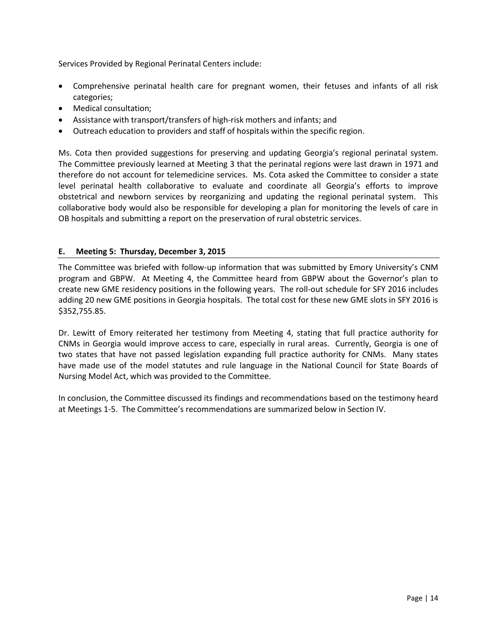Services Provided by Regional Perinatal Centers include:

- Comprehensive perinatal health care for pregnant women, their fetuses and infants of all risk categories;
- Medical consultation;
- Assistance with transport/transfers of high-risk mothers and infants; and
- Outreach education to providers and staff of hospitals within the specific region.

Ms. Cota then provided suggestions for preserving and updating Georgia's regional perinatal system. The Committee previously learned at Meeting 3 that the perinatal regions were last drawn in 1971 and therefore do not account for telemedicine services. Ms. Cota asked the Committee to consider a state level perinatal health collaborative to evaluate and coordinate all Georgia's efforts to improve obstetrical and newborn services by reorganizing and updating the regional perinatal system. This collaborative body would also be responsible for developing a plan for monitoring the levels of care in OB hospitals and submitting a report on the preservation of rural obstetric services.

### **E. Meeting 5: Thursday, December 3, 2015**

The Committee was briefed with follow-up information that was submitted by Emory University's CNM program and GBPW. At Meeting 4, the Committee heard from GBPW about the Governor's plan to create new GME residency positions in the following years. The roll-out schedule for SFY 2016 includes adding 20 new GME positions in Georgia hospitals. The total cost for these new GME slots in SFY 2016 is \$352,755.85.

Dr. Lewitt of Emory reiterated her testimony from Meeting 4, stating that full practice authority for CNMs in Georgia would improve access to care, especially in rural areas. Currently, Georgia is one of two states that have not passed legislation expanding full practice authority for CNMs. Many states have made use of the model statutes and rule language in the National Council for State Boards of Nursing Model Act, which was provided to the Committee.

In conclusion, the Committee discussed its findings and recommendations based on the testimony heard at Meetings 1-5. The Committee's recommendations are summarized below in Section IV.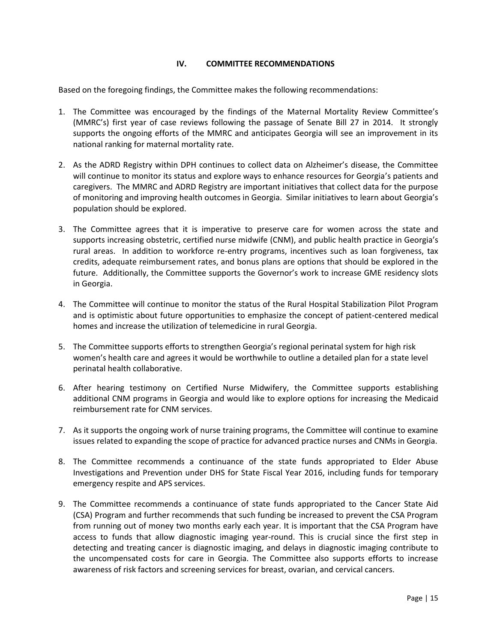### **IV. COMMITTEE RECOMMENDATIONS**

Based on the foregoing findings, the Committee makes the following recommendations:

- 1. The Committee was encouraged by the findings of the Maternal Mortality Review Committee's (MMRC's) first year of case reviews following the passage of Senate Bill 27 in 2014. It strongly supports the ongoing efforts of the MMRC and anticipates Georgia will see an improvement in its national ranking for maternal mortality rate.
- 2. As the ADRD Registry within DPH continues to collect data on Alzheimer's disease, the Committee will continue to monitor its status and explore ways to enhance resources for Georgia's patients and caregivers. The MMRC and ADRD Registry are important initiatives that collect data for the purpose of monitoring and improving health outcomes in Georgia. Similar initiatives to learn about Georgia's population should be explored.
- 3. The Committee agrees that it is imperative to preserve care for women across the state and supports increasing obstetric, certified nurse midwife (CNM), and public health practice in Georgia's rural areas. In addition to workforce re-entry programs, incentives such as loan forgiveness, tax credits, adequate reimbursement rates, and bonus plans are options that should be explored in the future. Additionally, the Committee supports the Governor's work to increase GME residency slots in Georgia.
- 4. The Committee will continue to monitor the status of the Rural Hospital Stabilization Pilot Program and is optimistic about future opportunities to emphasize the concept of patient-centered medical homes and increase the utilization of telemedicine in rural Georgia.
- 5. The Committee supports efforts to strengthen Georgia's regional perinatal system for high risk women's health care and agrees it would be worthwhile to outline a detailed plan for a state level perinatal health collaborative.
- 6. After hearing testimony on Certified Nurse Midwifery, the Committee supports establishing additional CNM programs in Georgia and would like to explore options for increasing the Medicaid reimbursement rate for CNM services.
- 7. As it supports the ongoing work of nurse training programs, the Committee will continue to examine issues related to expanding the scope of practice for advanced practice nurses and CNMs in Georgia.
- 8. The Committee recommends a continuance of the state funds appropriated to Elder Abuse Investigations and Prevention under DHS for State Fiscal Year 2016, including funds for temporary emergency respite and APS services.
- 9. The Committee recommends a continuance of state funds appropriated to the Cancer State Aid (CSA) Program and further recommends that such funding be increased to prevent the CSA Program from running out of money two months early each year. It is important that the CSA Program have access to funds that allow diagnostic imaging year-round. This is crucial since the first step in detecting and treating cancer is diagnostic imaging, and delays in diagnostic imaging contribute to the uncompensated costs for care in Georgia. The Committee also supports efforts to increase awareness of risk factors and screening services for breast, ovarian, and cervical cancers.